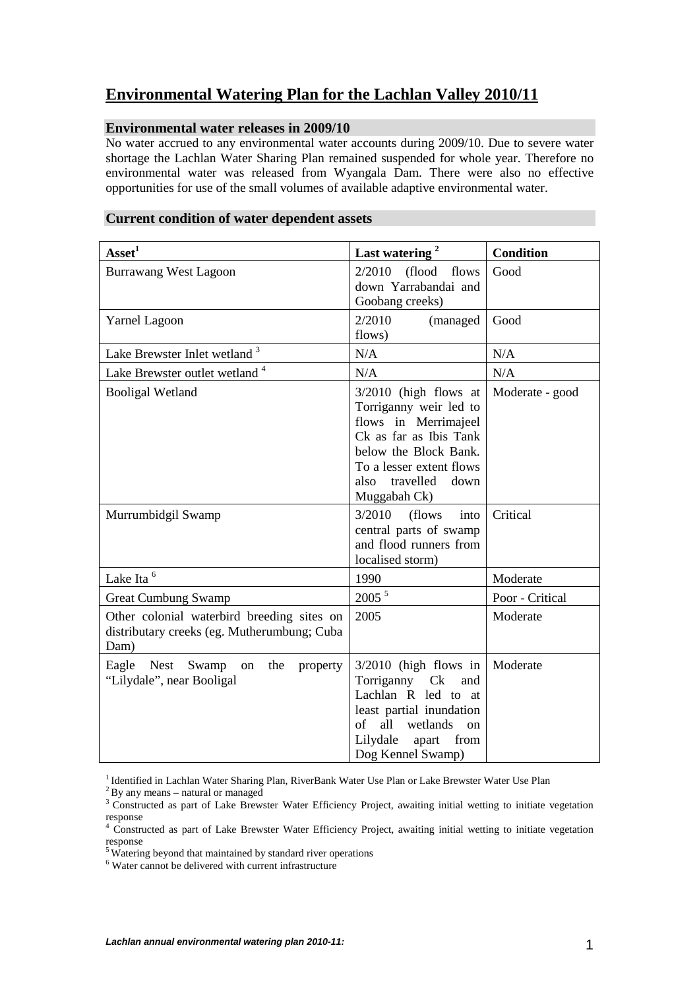# **Environmental Watering Plan for the Lachlan Valley 2010/11**

# **Environmental water releases in 2009/10**

No water accrued to any environmental water accounts during 2009/10. Due to severe water shortage the Lachlan Water Sharing Plan remained suspended for whole year. Therefore no environmental water was released from Wyangala Dam. There were also no effective opportunities for use of the small volumes of available adaptive environmental water.

# **Current condition of water dependent assets**

| $\text{A} \text{s} \text{set}^1$                                                                  | Last watering <sup>2</sup>                                                                                                                                                                            | <b>Condition</b> |
|---------------------------------------------------------------------------------------------------|-------------------------------------------------------------------------------------------------------------------------------------------------------------------------------------------------------|------------------|
| <b>Burrawang West Lagoon</b>                                                                      | 2/2010<br>(flood<br>flows<br>down Yarrabandai and<br>Goobang creeks)                                                                                                                                  | Good             |
| <b>Yarnel Lagoon</b>                                                                              | 2/2010<br>(managed<br>flows)                                                                                                                                                                          | Good             |
| Lake Brewster Inlet wetland <sup>3</sup>                                                          | N/A                                                                                                                                                                                                   | N/A              |
| Lake Brewster outlet wetland <sup>4</sup>                                                         | N/A                                                                                                                                                                                                   | N/A              |
| <b>Booligal Wetland</b>                                                                           | $3/2010$ (high flows at<br>Torriganny weir led to<br>flows in Merrimajeel<br>Ck as far as Ibis Tank<br>below the Block Bank.<br>To a lesser extent flows<br>travelled<br>also<br>down<br>Muggabah Ck) | Moderate - good  |
| Murrumbidgil Swamp                                                                                | 3/2010<br>(flows<br>into<br>central parts of swamp<br>and flood runners from<br>localised storm)                                                                                                      | Critical         |
| Lake Ita <sup>6</sup>                                                                             | 1990                                                                                                                                                                                                  | Moderate         |
| <b>Great Cumbung Swamp</b>                                                                        | $2005$ $^5\,$                                                                                                                                                                                         | Poor - Critical  |
| Other colonial waterbird breeding sites on<br>distributary creeks (eg. Mutherumbung; Cuba<br>Dam) | 2005                                                                                                                                                                                                  | Moderate         |
| Eagle<br><b>Nest</b><br>the<br>Swamp<br>property<br>on<br>"Lilydale", near Booligal               | $3/2010$ (high flows in<br>Torriganny Ck<br>and<br>Lachlan R led to at<br>least partial inundation<br>$\sigma$<br>all<br>wetlands<br><sub>on</sub><br>Lilydale<br>apart<br>from<br>Dog Kennel Swamp)  | Moderate         |

<sup>&</sup>lt;sup>1</sup> Identified in Lachlan Water Sharing Plan, RiverBank Water Use Plan or Lake Brewster Water Use Plan

 $2$ By any means – natural or managed

<sup>&</sup>lt;sup>3</sup> Constructed as part of Lake Brewster Water Efficiency Project, awaiting initial wetting to initiate vegetation

response<br><sup>4</sup> Constructed as part of Lake Brewster Water Efficiency Project, awaiting initial wetting to initiate vegetation response

<sup>&</sup>lt;sup>5</sup> Watering beyond that maintained by standard river operations

<sup>6</sup> Water cannot be delivered with current infrastructure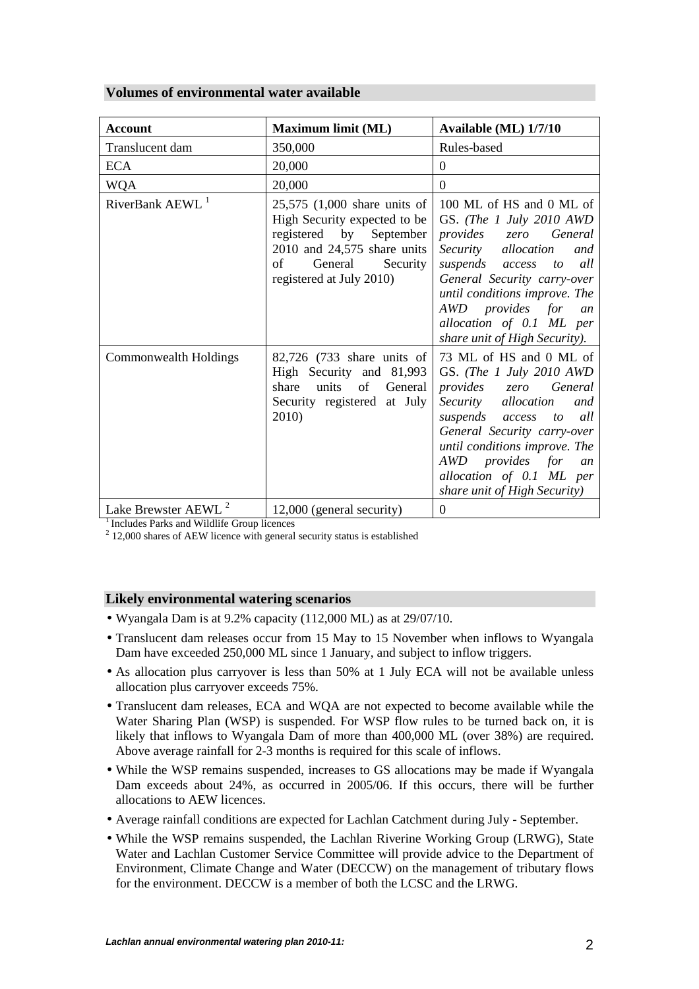# **Volumes of environmental water available**

| <b>Account</b>                  | Maximum limit (ML)                                                                                                                                                                | Available (ML) 1/7/10                                                                                                                                                                                                                                                                                        |
|---------------------------------|-----------------------------------------------------------------------------------------------------------------------------------------------------------------------------------|--------------------------------------------------------------------------------------------------------------------------------------------------------------------------------------------------------------------------------------------------------------------------------------------------------------|
| Translucent dam                 | 350,000                                                                                                                                                                           | Rules-based                                                                                                                                                                                                                                                                                                  |
| <b>ECA</b>                      | 20,000                                                                                                                                                                            | $\Omega$                                                                                                                                                                                                                                                                                                     |
| <b>WQA</b>                      | 20,000                                                                                                                                                                            | $\theta$                                                                                                                                                                                                                                                                                                     |
| RiverBank AEWL <sup>1</sup>     | $25,575$ $(1,000)$ share units of<br>High Security expected to be<br>registered by September<br>2010 and 24,575 share units<br>of<br>General Security<br>registered at July 2010) | 100 ML of HS and 0 ML of<br>GS. (The 1 July 2010 AWD<br><i>provides</i> zero<br>General<br>Security<br>allocation<br>and<br>suspends access<br>all<br>to<br>General Security carry-over<br>until conditions improve. The<br>AWD provides for an<br>allocation of 0.1 ML per<br>share unit of High Security). |
| Commonwealth Holdings           | 82,726 (733 share units of<br>High Security and 81,993<br>units<br>of General<br>share<br>Security registered at July<br>2010)                                                    | 73 ML of HS and 0 ML of<br>GS. (The 1 July 2010 AWD<br>provides zero General<br>Security<br>allocation<br>and<br>suspends access<br>all<br>to<br>General Security carry-over<br>until conditions improve. The<br>AWD provides for<br>an<br>allocation of 0.1 ML per<br>share unit of High Security)          |
| Lake Brewster AEWL <sup>2</sup> | 12,000 (general security)                                                                                                                                                         | $\boldsymbol{0}$                                                                                                                                                                                                                                                                                             |

<sup>1</sup> Includes Parks and Wildlife Group licences

 $2$  12,000 shares of AEW licence with general security status is established

### **Likely environmental watering scenarios**

- Wyangala Dam is at 9.2% capacity (112,000 ML) as at 29/07/10.
- Translucent dam releases occur from 15 May to 15 November when inflows to Wyangala Dam have exceeded 250,000 ML since 1 January, and subject to inflow triggers.
- As allocation plus carryover is less than 50% at 1 July ECA will not be available unless allocation plus carryover exceeds 75%.
- Translucent dam releases, ECA and WQA are not expected to become available while the Water Sharing Plan (WSP) is suspended. For WSP flow rules to be turned back on, it is likely that inflows to Wyangala Dam of more than 400,000 ML (over 38%) are required. Above average rainfall for 2-3 months is required for this scale of inflows.
- While the WSP remains suspended, increases to GS allocations may be made if Wyangala Dam exceeds about 24%, as occurred in 2005/06. If this occurs, there will be further allocations to AEW licences.
- Average rainfall conditions are expected for Lachlan Catchment during July September.
- While the WSP remains suspended, the Lachlan Riverine Working Group (LRWG), State Water and Lachlan Customer Service Committee will provide advice to the Department of Environment, Climate Change and Water (DECCW) on the management of tributary flows for the environment. DECCW is a member of both the LCSC and the LRWG.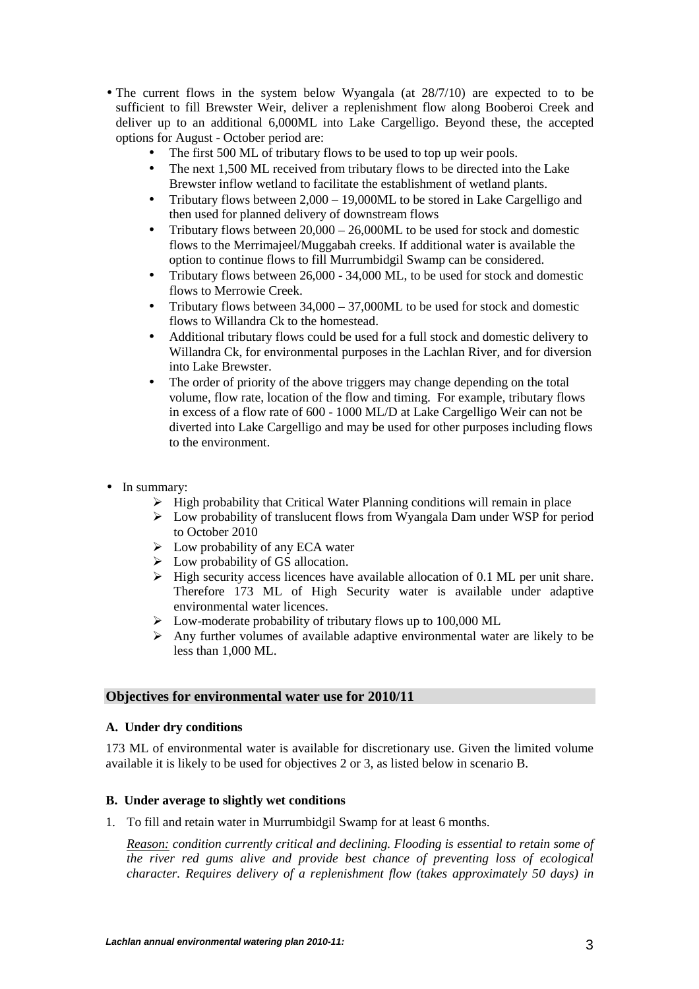- The current flows in the system below Wyangala (at  $28/7/10$ ) are expected to to be sufficient to fill Brewster Weir, deliver a replenishment flow along Booberoi Creek and deliver up to an additional 6,000ML into Lake Cargelligo. Beyond these, the accepted options for August - October period are:
	- The first 500 ML of tributary flows to be used to top up weir pools.
	- The next 1,500 ML received from tributary flows to be directed into the Lake Brewster inflow wetland to facilitate the establishment of wetland plants.
	- Tributary flows between  $2,000 19,000$  ML to be stored in Lake Cargelligo and then used for planned delivery of downstream flows
	- Tributary flows between  $20,000 26,000$ ML to be used for stock and domestic flows to the Merrimajeel/Muggabah creeks. If additional water is available the option to continue flows to fill Murrumbidgil Swamp can be considered.
	- Tributary flows between 26,000 34,000 ML, to be used for stock and domestic flows to Merrowie Creek.
	- Tributary flows between  $34,000 37,000$  ML to be used for stock and domestic flows to Willandra Ck to the homestead.
	- Additional tributary flows could be used for a full stock and domestic delivery to Willandra Ck, for environmental purposes in the Lachlan River, and for diversion into Lake Brewster.
	- The order of priority of the above triggers may change depending on the total volume, flow rate, location of the flow and timing. For example, tributary flows in excess of a flow rate of 600 - 1000 ML/D at Lake Cargelligo Weir can not be diverted into Lake Cargelligo and may be used for other purposes including flows to the environment.
- In summary:
	- $\triangleright$  High probability that Critical Water Planning conditions will remain in place
	- $\triangleright$  Low probability of translucent flows from Wyangala Dam under WSP for period to October 2010
	- $\triangleright$  Low probability of any ECA water
	- $\triangleright$  Low probability of GS allocation.
	- $\triangleright$  High security access licences have available allocation of 0.1 ML per unit share. Therefore 173 ML of High Security water is available under adaptive environmental water licences.
	- $\triangleright$  Low-moderate probability of tributary flows up to 100,000 ML
	- $\triangleright$  Any further volumes of available adaptive environmental water are likely to be less than 1,000 ML.

### **Objectives for environmental water use for 2010/11**

### **A. Under dry conditions**

173 ML of environmental water is available for discretionary use. Given the limited volume available it is likely to be used for objectives 2 or 3, as listed below in scenario B.

### **B. Under average to slightly wet conditions**

1. To fill and retain water in Murrumbidgil Swamp for at least 6 months.

*Reason: condition currently critical and declining. Flooding is essential to retain some of the river red gums alive and provide best chance of preventing loss of ecological character. Requires delivery of a replenishment flow (takes approximately 50 days) in*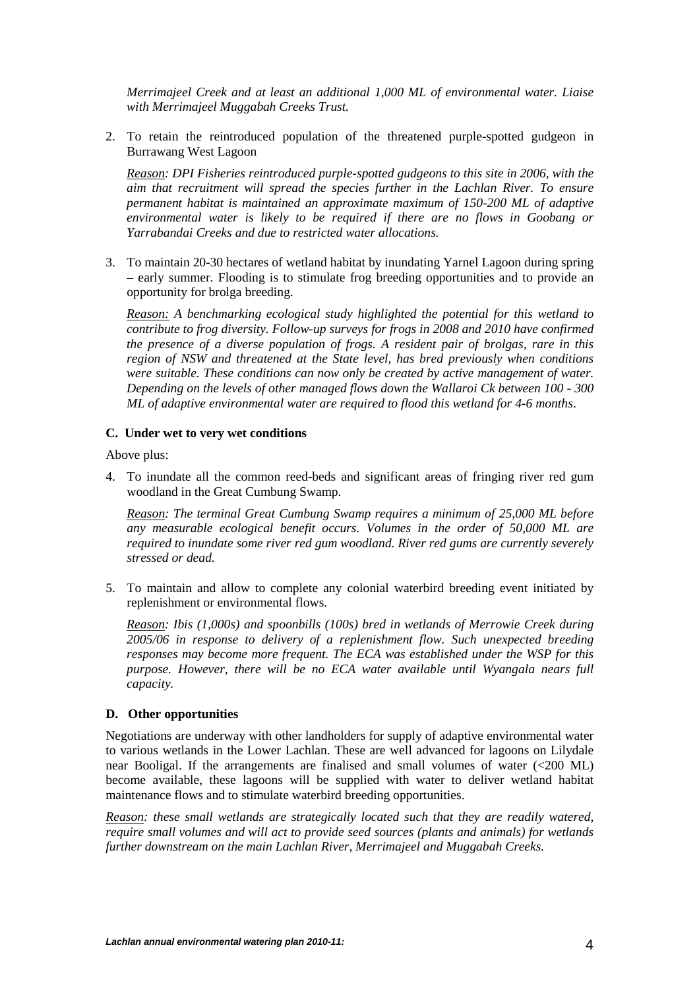*Merrimajeel Creek and at least an additional 1,000 ML of environmental water. Liaise with Merrimajeel Muggabah Creeks Trust.* 

2. To retain the reintroduced population of the threatened purple-spotted gudgeon in Burrawang West Lagoon

*Reason: DPI Fisheries reintroduced purple-spotted gudgeons to this site in 2006, with the aim that recruitment will spread the species further in the Lachlan River. To ensure permanent habitat is maintained an approximate maximum of 150-200 ML of adaptive environmental water is likely to be required if there are no flows in Goobang or Yarrabandai Creeks and due to restricted water allocations.* 

3. To maintain 20-30 hectares of wetland habitat by inundating Yarnel Lagoon during spring – early summer. Flooding is to stimulate frog breeding opportunities and to provide an opportunity for brolga breeding.

*Reason: A benchmarking ecological study highlighted the potential for this wetland to contribute to frog diversity. Follow-up surveys for frogs in 2008 and 2010 have confirmed the presence of a diverse population of frogs. A resident pair of brolgas, rare in this region of NSW and threatened at the State level, has bred previously when conditions were suitable. These conditions can now only be created by active management of water. Depending on the levels of other managed flows down the Wallaroi Ck between 100 - 300 ML of adaptive environmental water are required to flood this wetland for 4-6 months*.

### **C. Under wet to very wet conditions**

Above plus:

4. To inundate all the common reed-beds and significant areas of fringing river red gum woodland in the Great Cumbung Swamp.

*Reason: The terminal Great Cumbung Swamp requires a minimum of 25,000 ML before any measurable ecological benefit occurs. Volumes in the order of 50,000 ML are required to inundate some river red gum woodland. River red gums are currently severely stressed or dead.* 

5. To maintain and allow to complete any colonial waterbird breeding event initiated by replenishment or environmental flows.

*Reason: Ibis (1,000s) and spoonbills (100s) bred in wetlands of Merrowie Creek during 2005/06 in response to delivery of a replenishment flow. Such unexpected breeding responses may become more frequent. The ECA was established under the WSP for this purpose. However, there will be no ECA water available until Wyangala nears full capacity.* 

### **D. Other opportunities**

Negotiations are underway with other landholders for supply of adaptive environmental water to various wetlands in the Lower Lachlan. These are well advanced for lagoons on Lilydale near Booligal. If the arrangements are finalised and small volumes of water (<200 ML) become available, these lagoons will be supplied with water to deliver wetland habitat maintenance flows and to stimulate waterbird breeding opportunities.

*Reason: these small wetlands are strategically located such that they are readily watered, require small volumes and will act to provide seed sources (plants and animals) for wetlands further downstream on the main Lachlan River, Merrimajeel and Muggabah Creeks.*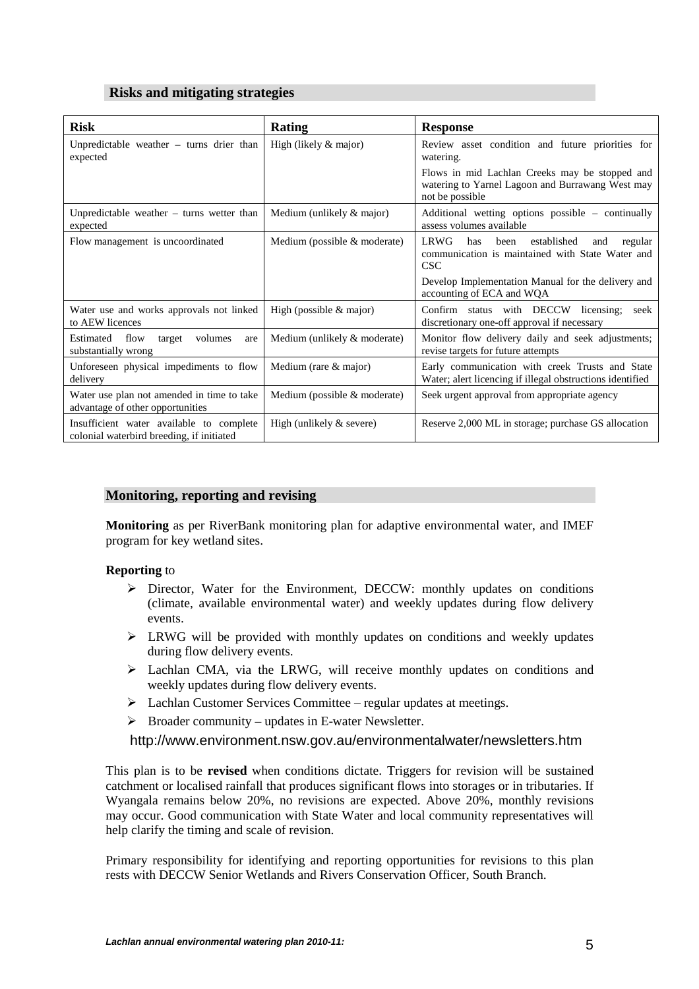# **Risks and mitigating strategies**

| <b>Risk</b>                                                                           | Rating                         | <b>Response</b>                                                                                                        |
|---------------------------------------------------------------------------------------|--------------------------------|------------------------------------------------------------------------------------------------------------------------|
| Unpredictable weather $-$ turns drier than<br>expected                                | High (likely $&$ major)        | Review asset condition and future priorities for<br>watering.                                                          |
|                                                                                       |                                | Flows in mid Lachlan Creeks may be stopped and<br>watering to Yarnel Lagoon and Burrawang West may<br>not be possible  |
| Unpredictable weather $-$ turns wetter than<br>expected                               | Medium (unlikely & major)      | Additional wetting options possible – continually<br>assess volumes available                                          |
| Flow management is uncoordinated                                                      | Medium (possible $&$ moderate) | <b>LRWG</b><br>established<br>has<br>been<br>and<br>regular<br>communication is maintained with State Water and<br>CSC |
|                                                                                       |                                | Develop Implementation Manual for the delivery and<br>accounting of ECA and WQA                                        |
| Water use and works approvals not linked<br>to AEW licences                           | High (possible $&$ major)      | Confirm status with DECCW licensing;<br>seek<br>discretionary one-off approval if necessary                            |
| Estimated<br>flow<br>target<br>volumes<br>are<br>substantially wrong                  | Medium (unlikely & moderate)   | Monitor flow delivery daily and seek adjustments;<br>revise targets for future attempts                                |
| Unforeseen physical impediments to flow<br>delivery                                   | Medium (rare & major)          | Early communication with creek Trusts and State<br>Water; alert licencing if illegal obstructions identified           |
| Water use plan not amended in time to take<br>advantage of other opportunities        | Medium (possible $&$ moderate) | Seek urgent approval from appropriate agency                                                                           |
| Insufficient water available to complete<br>colonial waterbird breeding, if initiated | High (unlikely $&$ severe)     | Reserve 2,000 ML in storage; purchase GS allocation                                                                    |

# **Monitoring, reporting and revising**

**Monitoring** as per RiverBank monitoring plan for adaptive environmental water, and IMEF program for key wetland sites.

### **Reporting** to

- $\triangleright$  Director, Water for the Environment, DECCW: monthly updates on conditions (climate, available environmental water) and weekly updates during flow delivery events.
- $\triangleright$  LRWG will be provided with monthly updates on conditions and weekly updates during flow delivery events.
- Lachlan CMA, via the LRWG, will receive monthly updates on conditions and weekly updates during flow delivery events.
- $\triangleright$  Lachlan Customer Services Committee regular updates at meetings.
- $\triangleright$  Broader community updates in E-water Newsletter.

http://www.environment.nsw.gov.au/environmentalwater/newsletters.htm

This plan is to be **revised** when conditions dictate. Triggers for revision will be sustained catchment or localised rainfall that produces significant flows into storages or in tributaries. If Wyangala remains below 20%, no revisions are expected. Above 20%, monthly revisions may occur. Good communication with State Water and local community representatives will help clarify the timing and scale of revision.

Primary responsibility for identifying and reporting opportunities for revisions to this plan rests with DECCW Senior Wetlands and Rivers Conservation Officer, South Branch.